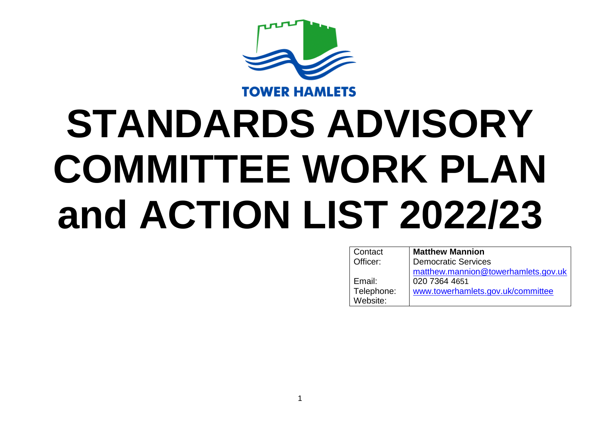

## **STANDARDS ADVISORY COMMITTEE WORK PLAN and ACTION LIST 2022/23**

| Contact    | <b>Matthew Mannion</b>              |
|------------|-------------------------------------|
| Officer:   | <b>Democratic Services</b>          |
|            | matthew.mannion@towerhamlets.gov.uk |
| Email:     | 020 7364 4651                       |
| Telephone: | www.towerhamlets.gov.uk/committee   |
| Website:   |                                     |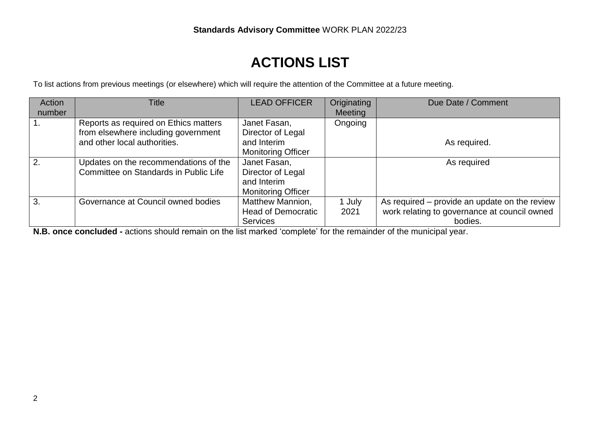## **ACTIONS LIST**

To list actions from previous meetings (or elsewhere) which will require the attention of the Committee at a future meeting.

| Action<br>number | Title                                 | <b>LEAD OFFICER</b>       | Originating<br><b>Meeting</b> | Due Date / Comment                            |
|------------------|---------------------------------------|---------------------------|-------------------------------|-----------------------------------------------|
|                  |                                       |                           |                               |                                               |
|                  | Reports as required on Ethics matters | Janet Fasan,              | Ongoing                       |                                               |
|                  | from elsewhere including government   | Director of Legal         |                               |                                               |
|                  | and other local authorities.          | and Interim               |                               | As required.                                  |
|                  |                                       | <b>Monitoring Officer</b> |                               |                                               |
| 2.               | Updates on the recommendations of the | Janet Fasan,              |                               | As required                                   |
|                  | Committee on Standards in Public Life | Director of Legal         |                               |                                               |
|                  |                                       | and Interim               |                               |                                               |
|                  |                                       | <b>Monitoring Officer</b> |                               |                                               |
| 3.               | Governance at Council owned bodies    | Matthew Mannion,          | 1 July                        | As required – provide an update on the review |
|                  |                                       | <b>Head of Democratic</b> | 2021                          | work relating to governance at council owned  |
|                  |                                       | <b>Services</b>           |                               | bodies.                                       |

**N.B. once concluded -** actions should remain on the list marked 'complete' for the remainder of the municipal year.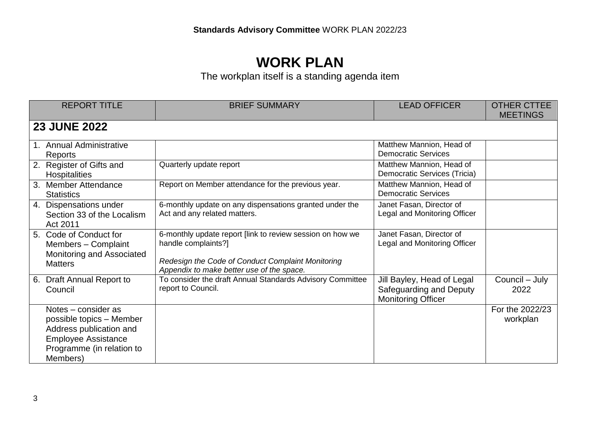## **WORK PLAN**

The workplan itself is a standing agenda item

| <b>REPORT TITLE</b>                                                                                                                               | <b>BRIEF SUMMARY</b>                                                                                                                                                               | <b>LEAD OFFICER</b>                                                                | <b>OTHER CTTEE</b><br><b>MEETINGS</b> |
|---------------------------------------------------------------------------------------------------------------------------------------------------|------------------------------------------------------------------------------------------------------------------------------------------------------------------------------------|------------------------------------------------------------------------------------|---------------------------------------|
| <b>23 JUNE 2022</b>                                                                                                                               |                                                                                                                                                                                    |                                                                                    |                                       |
| 1. Annual Administrative<br>Reports                                                                                                               |                                                                                                                                                                                    | Matthew Mannion, Head of<br><b>Democratic Services</b>                             |                                       |
| 2. Register of Gifts and<br>Hospitalities                                                                                                         | Quarterly update report                                                                                                                                                            | Matthew Mannion, Head of<br>Democratic Services (Tricia)                           |                                       |
| 3. Member Attendance<br><b>Statistics</b>                                                                                                         | Report on Member attendance for the previous year.                                                                                                                                 | Matthew Mannion, Head of<br><b>Democratic Services</b>                             |                                       |
| 4. Dispensations under<br>Section 33 of the Localism<br>Act 2011                                                                                  | 6-monthly update on any dispensations granted under the<br>Act and any related matters.                                                                                            | Janet Fasan, Director of<br>Legal and Monitoring Officer                           |                                       |
| 5. Code of Conduct for<br>Members - Complaint<br>Monitoring and Associated<br><b>Matters</b>                                                      | 6-monthly update report [link to review session on how we<br>handle complaints?]<br>Redesign the Code of Conduct Complaint Monitoring<br>Appendix to make better use of the space. | Janet Fasan, Director of<br>Legal and Monitoring Officer                           |                                       |
| 6. Draft Annual Report to<br>Council                                                                                                              | To consider the draft Annual Standards Advisory Committee<br>report to Council.                                                                                                    | Jill Bayley, Head of Legal<br>Safeguarding and Deputy<br><b>Monitoring Officer</b> | Council - July<br>2022                |
| Notes - consider as<br>possible topics - Member<br>Address publication and<br><b>Employee Assistance</b><br>Programme (in relation to<br>Members) |                                                                                                                                                                                    |                                                                                    | For the 2022/23<br>workplan           |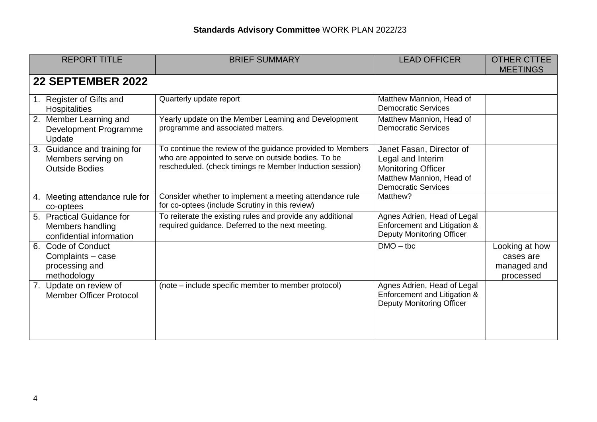| <b>REPORT TITLE</b>                                                                | <b>BRIEF SUMMARY</b>                                                                                                                                                          | <b>LEAD OFFICER</b>                                                                                                                  | <b>OTHER CTTEE</b><br><b>MEETINGS</b>                   |
|------------------------------------------------------------------------------------|-------------------------------------------------------------------------------------------------------------------------------------------------------------------------------|--------------------------------------------------------------------------------------------------------------------------------------|---------------------------------------------------------|
| 22 SEPTEMBER 2022                                                                  |                                                                                                                                                                               |                                                                                                                                      |                                                         |
| 1. Register of Gifts and<br><b>Hospitalities</b>                                   | Quarterly update report                                                                                                                                                       | Matthew Mannion, Head of<br><b>Democratic Services</b>                                                                               |                                                         |
| Member Learning and<br>2.<br><b>Development Programme</b><br>Update                | Yearly update on the Member Learning and Development<br>programme and associated matters.                                                                                     | Matthew Mannion, Head of<br><b>Democratic Services</b>                                                                               |                                                         |
| 3. Guidance and training for<br>Members serving on<br><b>Outside Bodies</b>        | To continue the review of the guidance provided to Members<br>who are appointed to serve on outside bodies. To be<br>rescheduled. (check timings re Member Induction session) | Janet Fasan, Director of<br>Legal and Interim<br><b>Monitoring Officer</b><br>Matthew Mannion, Head of<br><b>Democratic Services</b> |                                                         |
| Meeting attendance rule for<br>4.<br>co-optees                                     | Consider whether to implement a meeting attendance rule<br>for co-optees (include Scrutiny in this review)                                                                    | Matthew?                                                                                                                             |                                                         |
| 5. Practical Guidance for<br>Members handling<br>confidential information          | To reiterate the existing rules and provide any additional<br>required guidance. Deferred to the next meeting.                                                                | Agnes Adrien, Head of Legal<br>Enforcement and Litigation &<br><b>Deputy Monitoring Officer</b>                                      |                                                         |
| <b>Code of Conduct</b><br>6.<br>Complaints - case<br>processing and<br>methodology |                                                                                                                                                                               | $DMO - tbc$                                                                                                                          | Looking at how<br>cases are<br>managed and<br>processed |
| 7. Update on review of<br><b>Member Officer Protocol</b>                           | (note – include specific member to member protocol)                                                                                                                           | Agnes Adrien, Head of Legal<br>Enforcement and Litigation &<br><b>Deputy Monitoring Officer</b>                                      |                                                         |